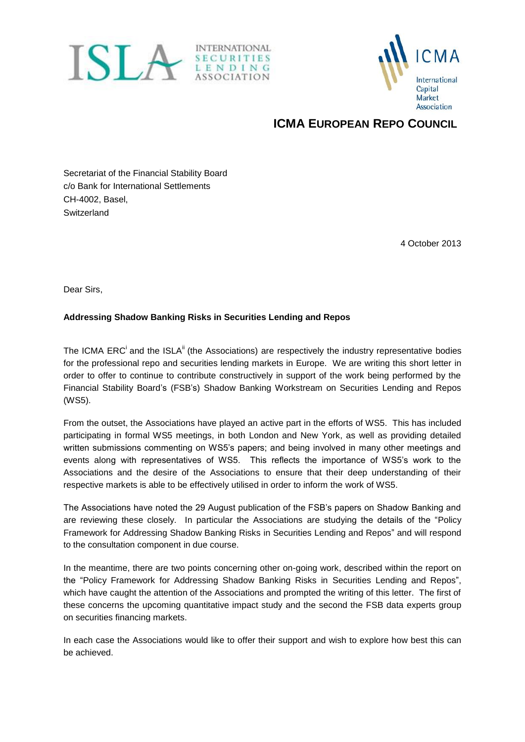



## **ICMA EUROPEAN REPO COUNCIL**

Secretariat of the Financial Stability Board c/o Bank for International Settlements CH-4002, Basel, **Switzerland** 

4 October 2013

Dear Sirs,

## **Addressing Shadow Banking Risks in Securities Lending and Repos**

The ICMA ERC<sup>i</sup> and the ISLA<sup>ii</sup> (the Associations) are respectively the industry representative bodies for the professional repo and securities lending markets in Europe. We are writing this short letter in order to offer to continue to contribute constructively in support of the work being performed by the Financial Stability Board's (FSB's) Shadow Banking Workstream on Securities Lending and Repos (WS5).

From the outset, the Associations have played an active part in the efforts of WS5. This has included participating in formal WS5 meetings, in both London and New York, as well as providing detailed written submissions commenting on WS5's papers; and being involved in many other meetings and events along with representatives of WS5. This reflects the importance of WS5's work to the Associations and the desire of the Associations to ensure that their deep understanding of their respective markets is able to be effectively utilised in order to inform the work of WS5.

The Associations have noted the 29 August publication of the FSB's papers on Shadow Banking and are reviewing these closely. In particular the Associations are studying the details of the "Policy Framework for Addressing Shadow Banking Risks in Securities Lending and Repos" and will respond to the consultation component in due course.

In the meantime, there are two points concerning other on-going work, described within the report on the "Policy Framework for Addressing Shadow Banking Risks in Securities Lending and Repos", which have caught the attention of the Associations and prompted the writing of this letter. The first of these concerns the upcoming quantitative impact study and the second the FSB data experts group on securities financing markets.

In each case the Associations would like to offer their support and wish to explore how best this can be achieved.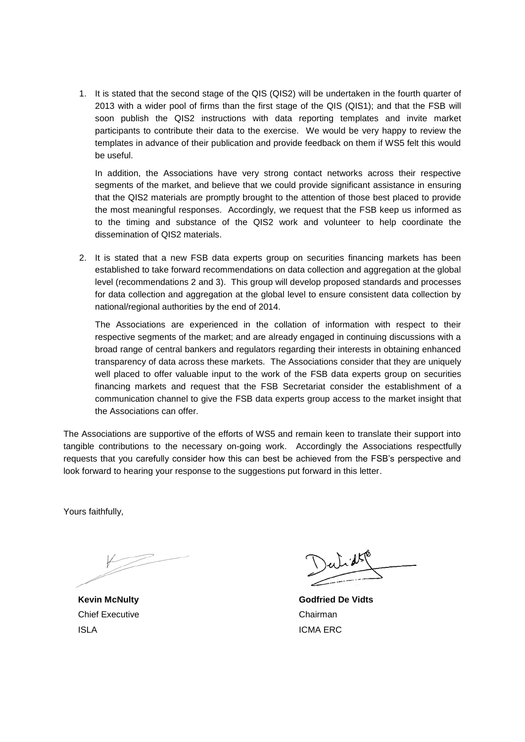1. It is stated that the second stage of the QIS (QIS2) will be undertaken in the fourth quarter of 2013 with a wider pool of firms than the first stage of the QIS (QIS1); and that the FSB will soon publish the QIS2 instructions with data reporting templates and invite market participants to contribute their data to the exercise. We would be very happy to review the templates in advance of their publication and provide feedback on them if WS5 felt this would be useful.

In addition, the Associations have very strong contact networks across their respective segments of the market, and believe that we could provide significant assistance in ensuring that the QIS2 materials are promptly brought to the attention of those best placed to provide the most meaningful responses. Accordingly, we request that the FSB keep us informed as to the timing and substance of the QIS2 work and volunteer to help coordinate the dissemination of QIS2 materials.

2. It is stated that a new FSB data experts group on securities financing markets has been established to take forward recommendations on data collection and aggregation at the global level (recommendations 2 and 3). This group will develop proposed standards and processes for data collection and aggregation at the global level to ensure consistent data collection by national/regional authorities by the end of 2014.

The Associations are experienced in the collation of information with respect to their respective segments of the market; and are already engaged in continuing discussions with a broad range of central bankers and regulators regarding their interests in obtaining enhanced transparency of data across these markets. The Associations consider that they are uniquely well placed to offer valuable input to the work of the FSB data experts group on securities financing markets and request that the FSB Secretariat consider the establishment of a communication channel to give the FSB data experts group access to the market insight that the Associations can offer.

The Associations are supportive of the efforts of WS5 and remain keen to translate their support into tangible contributions to the necessary on-going work. Accordingly the Associations respectfully requests that you carefully consider how this can best be achieved from the FSB's perspective and look forward to hearing your response to the suggestions put forward in this letter.

Yours faithfully,

 Chief ExecutiveChairman ISLAICMA ERC

 **Kevin McNulty Godfried De Vidts**